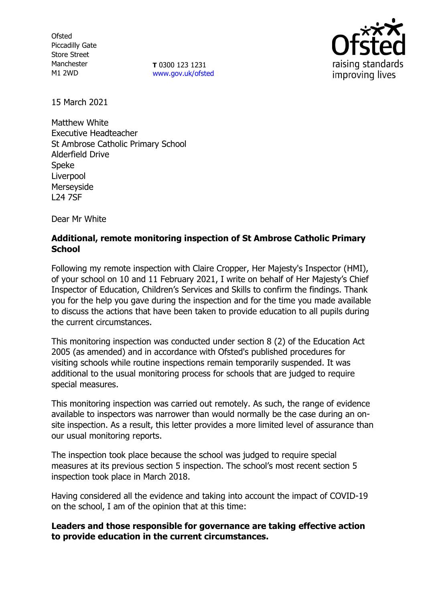**Ofsted** Piccadilly Gate Store Street Manchester M1 2WD

**T** 0300 123 1231 [www.gov.uk/ofsted](http://www.gov.uk/ofsted)



15 March 2021

Matthew White Executive Headteacher St Ambrose Catholic Primary School Alderfield Drive Speke Liverpool Merseyside L24 7SF

Dear Mr White

# **Additional, remote monitoring inspection of St Ambrose Catholic Primary School**

Following my remote inspection with Claire Cropper, Her Majesty's Inspector (HMI), of your school on 10 and 11 February 2021, I write on behalf of Her Majesty's Chief Inspector of Education, Children's Services and Skills to confirm the findings. Thank you for the help you gave during the inspection and for the time you made available to discuss the actions that have been taken to provide education to all pupils during the current circumstances.

This monitoring inspection was conducted under section 8 (2) of the Education Act 2005 (as amended) and in accordance with Ofsted's published procedures for visiting schools while routine inspections remain temporarily suspended. It was additional to the usual monitoring process for schools that are judged to require special measures.

This monitoring inspection was carried out remotely. As such, the range of evidence available to inspectors was narrower than would normally be the case during an onsite inspection. As a result, this letter provides a more limited level of assurance than our usual monitoring reports.

The inspection took place because the school was judged to require special measures at its previous section 5 inspection. The school's most recent section 5 inspection took place in March 2018.

Having considered all the evidence and taking into account the impact of COVID-19 on the school, I am of the opinion that at this time:

## **Leaders and those responsible for governance are taking effective action to provide education in the current circumstances.**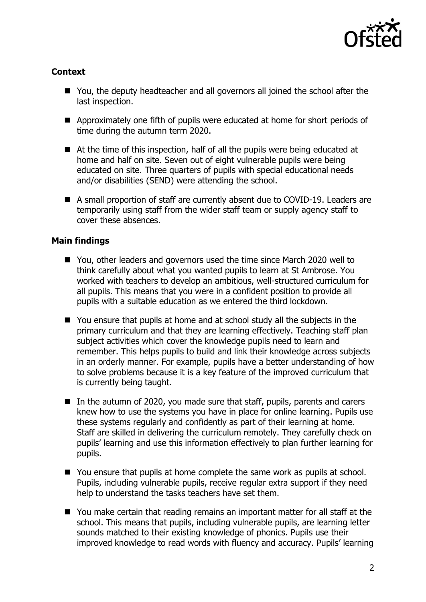

# **Context**

- You, the deputy headteacher and all governors all joined the school after the last inspection.
- Approximately one fifth of pupils were educated at home for short periods of time during the autumn term 2020.
- At the time of this inspection, half of all the pupils were being educated at home and half on site. Seven out of eight vulnerable pupils were being educated on site. Three quarters of pupils with special educational needs and/or disabilities (SEND) were attending the school.
- A small proportion of staff are currently absent due to COVID-19. Leaders are temporarily using staff from the wider staff team or supply agency staff to cover these absences.

## **Main findings**

- You, other leaders and governors used the time since March 2020 well to think carefully about what you wanted pupils to learn at St Ambrose. You worked with teachers to develop an ambitious, well-structured curriculum for all pupils. This means that you were in a confident position to provide all pupils with a suitable education as we entered the third lockdown.
- You ensure that pupils at home and at school study all the subjects in the primary curriculum and that they are learning effectively. Teaching staff plan subject activities which cover the knowledge pupils need to learn and remember. This helps pupils to build and link their knowledge across subjects in an orderly manner. For example, pupils have a better understanding of how to solve problems because it is a key feature of the improved curriculum that is currently being taught.
- In the autumn of 2020, you made sure that staff, pupils, parents and carers knew how to use the systems you have in place for online learning. Pupils use these systems regularly and confidently as part of their learning at home. Staff are skilled in delivering the curriculum remotely. They carefully check on pupils' learning and use this information effectively to plan further learning for pupils.
- You ensure that pupils at home complete the same work as pupils at school. Pupils, including vulnerable pupils, receive regular extra support if they need help to understand the tasks teachers have set them.
- You make certain that reading remains an important matter for all staff at the school. This means that pupils, including vulnerable pupils, are learning letter sounds matched to their existing knowledge of phonics. Pupils use their improved knowledge to read words with fluency and accuracy. Pupils' learning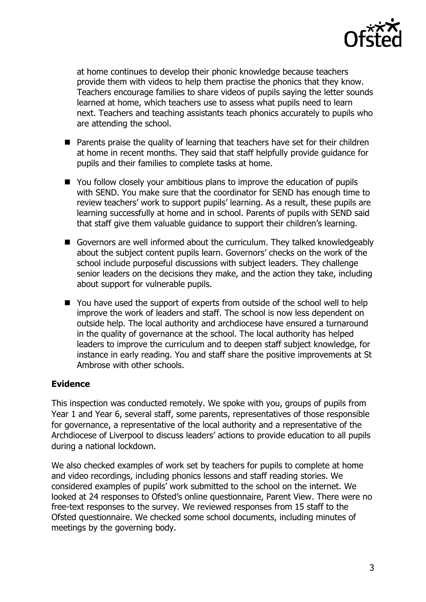

at home continues to develop their phonic knowledge because teachers provide them with videos to help them practise the phonics that they know. Teachers encourage families to share videos of pupils saying the letter sounds learned at home, which teachers use to assess what pupils need to learn next. Teachers and teaching assistants teach phonics accurately to pupils who are attending the school.

- Parents praise the quality of learning that teachers have set for their children at home in recent months. They said that staff helpfully provide guidance for pupils and their families to complete tasks at home.
- You follow closely your ambitious plans to improve the education of pupils with SEND. You make sure that the coordinator for SEND has enough time to review teachers' work to support pupils' learning. As a result, these pupils are learning successfully at home and in school. Parents of pupils with SEND said that staff give them valuable guidance to support their children's learning.
- Governors are well informed about the curriculum. They talked knowledgeably about the subject content pupils learn. Governors' checks on the work of the school include purposeful discussions with subject leaders. They challenge senior leaders on the decisions they make, and the action they take, including about support for vulnerable pupils.
- You have used the support of experts from outside of the school well to help improve the work of leaders and staff. The school is now less dependent on outside help. The local authority and archdiocese have ensured a turnaround in the quality of governance at the school. The local authority has helped leaders to improve the curriculum and to deepen staff subject knowledge, for instance in early reading. You and staff share the positive improvements at St Ambrose with other schools.

## **Evidence**

This inspection was conducted remotely. We spoke with you, groups of pupils from Year 1 and Year 6, several staff, some parents, representatives of those responsible for governance, a representative of the local authority and a representative of the Archdiocese of Liverpool to discuss leaders' actions to provide education to all pupils during a national lockdown.

We also checked examples of work set by teachers for pupils to complete at home and video recordings, including phonics lessons and staff reading stories. We considered examples of pupils' work submitted to the school on the internet. We looked at 24 responses to Ofsted's online questionnaire, Parent View. There were no free-text responses to the survey. We reviewed responses from 15 staff to the Ofsted questionnaire. We checked some school documents, including minutes of meetings by the governing body.